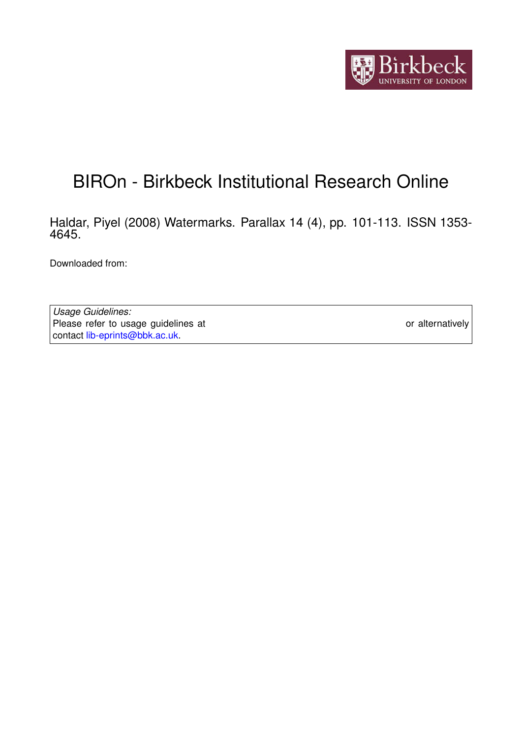## BIROn - Birkbeck Institutional Research Online

Haldar, Piyel (2008) Watermarks. Parallax 14 (4), pp. 101-113. ISSN 1353- 4645.

Downloaded from: <https://eprints.bbk.ac.uk/id/eprint/868/>

*Usage Guidelines:* Please refer to usage guidelines at <https://eprints.bbk.ac.uk/policies.html> or alternatively contact [lib-eprints@bbk.ac.uk.](mailto:lib-eprints@bbk.ac.uk)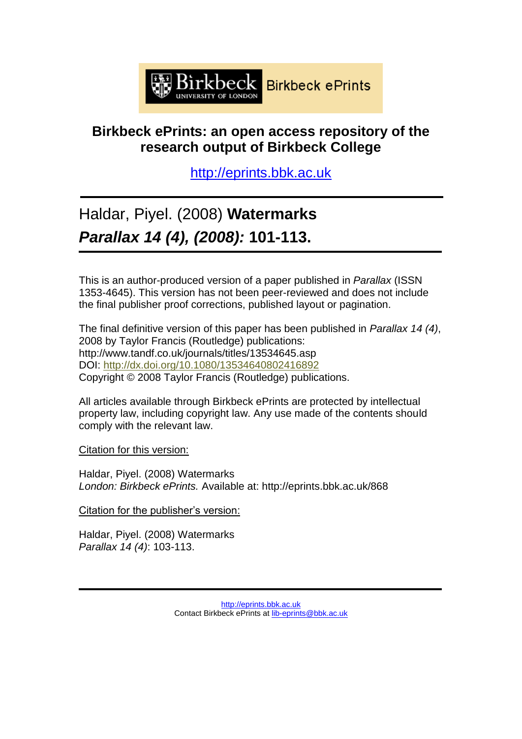

### **Birkbeck ePrints: an open access repository of the research output of Birkbeck College**

[http://eprints.bbk.ac.uk](http://eprints.bbk.ac.uk/)

# Haldar, Piyel. (2008) **Watermarks** *Parallax 14 (4), (2008):* **101-113.**

This is an author-produced version of a paper published in *Parallax* (ISSN 1353-4645). This version has not been peer-reviewed and does not include the final publisher proof corrections, published layout or pagination.

The final definitive version of this paper has been published in *Parallax 14 (4)*, 2008 by Taylor Francis (Routledge) publications: http://www.tandf.co.uk/journals/titles/13534645.asp DOI:<http://dx.doi.org/10.1080/13534640802416892> Copyright © 2008 Taylor Francis (Routledge) publications.

All articles available through Birkbeck ePrints are protected by intellectual property law, including copyright law. Any use made of the contents should comply with the relevant law.

Citation for this version:

Haldar, Piyel. (2008) Watermarks *London: Birkbeck ePrints.* Available at: http://eprints.bbk.ac.uk/868

Citation for the publisher's version:

Haldar, Piyel. (2008) Watermarks *Parallax 14 (4)*: 103-113.

> [http://eprints.bbk.ac.uk](http://eprints.bbk.ac.uk/) Contact Birkbeck ePrints at [lib-eprints@bbk.ac.uk](mailto:lib-eprints@bbk.ac.uk)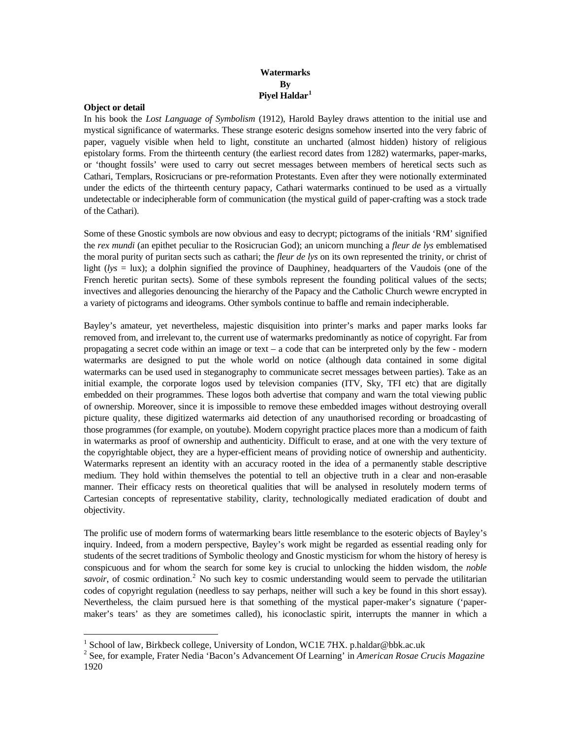### **Watermarks By Piyel Haldar[1](#page-2-0)**

#### **Object or detail**

 $\overline{a}$ 

In his book the *Lost Language of Symbolism* (1912), Harold Bayley draws attention to the initial use and mystical significance of watermarks. These strange esoteric designs somehow inserted into the very fabric of paper, vaguely visible when held to light, constitute an uncharted (almost hidden) history of religious epistolary forms. From the thirteenth century (the earliest record dates from 1282) watermarks, paper-marks, or 'thought fossils' were used to carry out secret messages between members of heretical sects such as Cathari, Templars, Rosicrucians or pre-reformation Protestants. Even after they were notionally exterminated under the edicts of the thirteenth century papacy, Cathari watermarks continued to be used as a virtually undetectable or indecipherable form of communication (the mystical guild of paper-crafting was a stock trade of the Cathari).

Some of these Gnostic symbols are now obvious and easy to decrypt; pictograms of the initials 'RM' signified the *rex mundi* (an epithet peculiar to the Rosicrucian God); an unicorn munching a *fleur de lys* emblematised the moral purity of puritan sects such as cathari; the *fleur de lys* on its own represented the trinity, or christ of light (*lys* = lux); a dolphin signified the province of Dauphiney, headquarters of the Vaudois (one of the French heretic puritan sects). Some of these symbols represent the founding political values of the sects; invectives and allegories denouncing the hierarchy of the Papacy and the Catholic Church wewre encrypted in a variety of pictograms and ideograms. Other symbols continue to baffle and remain indecipherable.

Bayley's amateur, yet nevertheless, majestic disquisition into printer's marks and paper marks looks far removed from, and irrelevant to, the current use of watermarks predominantly as notice of copyright. Far from propagating a secret code within an image or text – a code that can be interpreted only by the few - modern watermarks are designed to put the whole world on notice (although data contained in some digital watermarks can be used used in steganography to communicate secret messages between parties). Take as an initial example, the corporate logos used by television companies (ITV, Sky, TFI etc) that are digitally embedded on their programmes. These logos both advertise that company and warn the total viewing public of ownership. Moreover, since it is impossible to remove these embedded images without destroying overall picture quality, these digitized watermarks aid detection of any unauthorised recording or broadcasting of those programmes (for example, on youtube). Modern copyright practice places more than a modicum of faith in watermarks as proof of ownership and authenticity. Difficult to erase, and at one with the very texture of the copyrightable object, they are a hyper-efficient means of providing notice of ownership and authenticity. Watermarks represent an identity with an accuracy rooted in the idea of a permanently stable descriptive medium. They hold within themselves the potential to tell an objective truth in a clear and non-erasable manner. Their efficacy rests on theoretical qualities that will be analysed in resolutely modern terms of Cartesian concepts of representative stability, clarity, technologically mediated eradication of doubt and objectivity.

The prolific use of modern forms of watermarking bears little resemblance to the esoteric objects of Bayley's inquiry. Indeed, from a modern perspective, Bayley's work might be regarded as essential reading only for students of the secret traditions of Symbolic theology and Gnostic mysticism for whom the history of heresy is conspicuous and for whom the search for some key is crucial to unlocking the hidden wisdom, the *noble*  savoir, of cosmic ordination.<sup>[2](#page-2-1)</sup> No such key to cosmic understanding would seem to pervade the utilitarian codes of copyright regulation (needless to say perhaps, neither will such a key be found in this short essay). Nevertheless, the claim pursued here is that something of the mystical paper-maker's signature ('papermaker's tears' as they are sometimes called), his iconoclastic spirit, interrupts the manner in which a

<span id="page-2-0"></span><sup>&</sup>lt;sup>1</sup> School of law, Birkbeck college, University of London, WC1E 7HX. p.haldar@bbk.ac.uk

<span id="page-2-1"></span><sup>2</sup> See, for example, Frater Nedia 'Bacon's Advancement Of Learning' in *American Rosae Crucis Magazine*  1920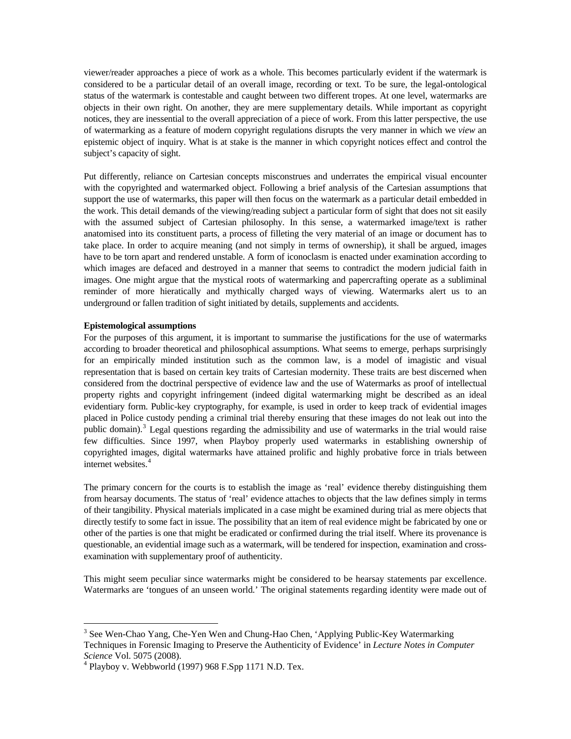viewer/reader approaches a piece of work as a whole. This becomes particularly evident if the watermark is considered to be a particular detail of an overall image, recording or text. To be sure, the legal-ontological status of the watermark is contestable and caught between two different tropes. At one level, watermarks are objects in their own right. On another, they are mere supplementary details. While important as copyright notices, they are inessential to the overall appreciation of a piece of work. From this latter perspective, the use of watermarking as a feature of modern copyright regulations disrupts the very manner in which we *view* an epistemic object of inquiry. What is at stake is the manner in which copyright notices effect and control the subject's capacity of sight.

Put differently, reliance on Cartesian concepts misconstrues and underrates the empirical visual encounter with the copyrighted and watermarked object. Following a brief analysis of the Cartesian assumptions that support the use of watermarks, this paper will then focus on the watermark as a particular detail embedded in the work. This detail demands of the viewing/reading subject a particular form of sight that does not sit easily with the assumed subject of Cartesian philosophy. In this sense, a watermarked image/text is rather anatomised into its constituent parts, a process of filleting the very material of an image or document has to take place. In order to acquire meaning (and not simply in terms of ownership), it shall be argued, images have to be torn apart and rendered unstable. A form of iconoclasm is enacted under examination according to which images are defaced and destroyed in a manner that seems to contradict the modern judicial faith in images. One might argue that the mystical roots of watermarking and papercrafting operate as a subliminal reminder of more hieratically and mythically charged ways of viewing. Watermarks alert us to an underground or fallen tradition of sight initiated by details, supplements and accidents.

#### **Epistemological assumptions**

 $\overline{a}$ 

For the purposes of this argument, it is important to summarise the justifications for the use of watermarks according to broader theoretical and philosophical assumptions. What seems to emerge, perhaps surprisingly for an empirically minded institution such as the common law, is a model of imagistic and visual representation that is based on certain key traits of Cartesian modernity. These traits are best discerned when considered from the doctrinal perspective of evidence law and the use of Watermarks as proof of intellectual property rights and copyright infringement (indeed digital watermarking might be described as an ideal evidentiary form. Public-key cryptography, for example, is used in order to keep track of evidential images placed in Police custody pending a criminal trial thereby ensuring that these images do not leak out into the public domain).<sup>[3](#page-3-0)</sup> Legal questions regarding the admissibility and use of watermarks in the trial would raise few difficulties. Since 1997, when Playboy properly used watermarks in establishing ownership of copyrighted images, digital watermarks have attained prolific and highly probative force in trials between internet websites.<sup>[4](#page-3-1)</sup>

The primary concern for the courts is to establish the image as 'real' evidence thereby distinguishing them from hearsay documents. The status of 'real' evidence attaches to objects that the law defines simply in terms of their tangibility. Physical materials implicated in a case might be examined during trial as mere objects that directly testify to some fact in issue. The possibility that an item of real evidence might be fabricated by one or other of the parties is one that might be eradicated or confirmed during the trial itself. Where its provenance is questionable, an evidential image such as a watermark, will be tendered for inspection, examination and crossexamination with supplementary proof of authenticity.

This might seem peculiar since watermarks might be considered to be hearsay statements par excellence. Watermarks are 'tongues of an unseen world*.*' The original statements regarding identity were made out of

<span id="page-3-0"></span><sup>&</sup>lt;sup>3</sup> See Wen-Chao Yang, Che-Yen Wen and Chung-Hao Chen, 'Applying Public-Key Watermarking Techniques in Forensic Imaging to Preserve the Authenticity of Evidence' in *Lecture Notes in Computer Science* Vol. 5075 (2008). 4

<span id="page-3-1"></span> $4$  Playboy v. Webbworld (1997) 968 F.Spp 1171 N.D. Tex.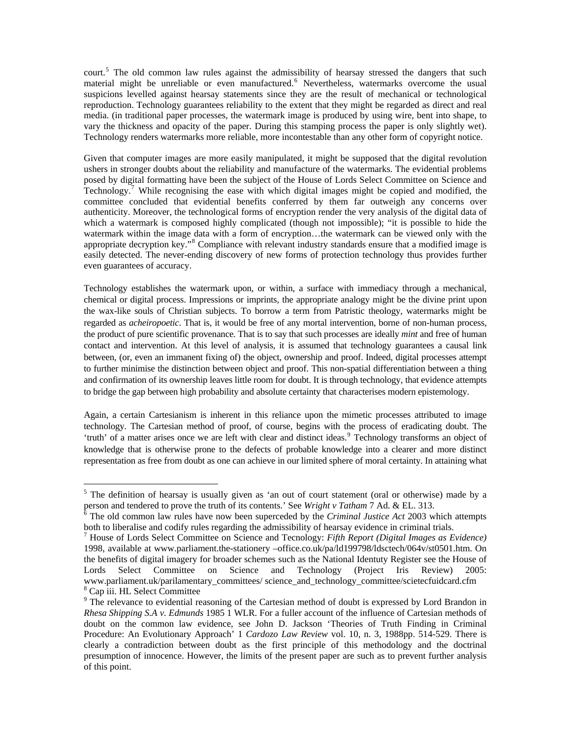court.<sup>[5](#page-4-0)</sup> The old common law rules against the admissibility of hearsay stressed the dangers that such material might be unreliable or even manufactured.<sup>[6](#page-4-1)</sup> Nevertheless, watermarks overcome the usual suspicions levelled against hearsay statements since they are the result of mechanical or technological reproduction. Technology guarantees reliability to the extent that they might be regarded as direct and real media. (in traditional paper processes, the watermark image is produced by using wire, bent into shape, to vary the thickness and opacity of the paper. During this stamping process the paper is only slightly wet). Technology renders watermarks more reliable, more incontestable than any other form of copyright notice.

Given that computer images are more easily manipulated, it might be supposed that the digital revolution ushers in stronger doubts about the reliability and manufacture of the watermarks. The evidential problems posed by digital formatting have been the subject of the House of Lords Select Committee on Science and Technology.<sup>[7](#page-4-2)</sup> While recognising the ease with which digital images might be copied and modified, the committee concluded that evidential benefits conferred by them far outweigh any concerns over authenticity. Moreover, the technological forms of encryption render the very analysis of the digital data of which a watermark is composed highly complicated (though not impossible); "it is possible to hide the watermark within the image data with a form of encryption…the watermark can be viewed only with the appropriate decryption key."<sup>[8](#page-4-3)</sup> Compliance with relevant industry standards ensure that a modified image is easily detected. The never-ending discovery of new forms of protection technology thus provides further even guarantees of accuracy.

Technology establishes the watermark upon, or within, a surface with immediacy through a mechanical, chemical or digital process. Impressions or imprints, the appropriate analogy might be the divine print upon the wax-like souls of Christian subjects. To borrow a term from Patristic theology, watermarks might be regarded as *acheiropoetic*. That is, it would be free of any mortal intervention, borne of non-human process, the product of pure scientific provenance. That is to say that such processes are ideally *mint* and free of human contact and intervention. At this level of analysis, it is assumed that technology guarantees a causal link between, (or, even an immanent fixing of) the object, ownership and proof. Indeed, digital processes attempt to further minimise the distinction between object and proof. This non-spatial differentiation between a thing and confirmation of its ownership leaves little room for doubt. It is through technology, that evidence attempts to bridge the gap between high probability and absolute certainty that characterises modern epistemology.

Again, a certain Cartesianism is inherent in this reliance upon the mimetic processes attributed to image technology. The Cartesian method of proof, of course, begins with the process of eradicating doubt. The 'truth' of a matter arises once we are left with clear and distinct ideas.<sup>[9](#page-4-4)</sup> Technology transforms an object of knowledge that is otherwise prone to the defects of probable knowledge into a clearer and more distinct representation as free from doubt as one can achieve in our limited sphere of moral certainty. In attaining what

<span id="page-4-0"></span><sup>&</sup>lt;sup>5</sup> The definition of hearsay is usually given as 'an out of court statement (oral or otherwise) made by a

<span id="page-4-1"></span>person and tendered to prove the truth of its contents.' See *Wright v Tatham* 7 Ad. & EL. 313.<br><sup>6</sup> The old common law rules have now been superceded by the *Criminal Justice Act* 2003 which attempts both to liberalise and codify rules regarding the admissibility of hearsay evidence in criminal trials.

<span id="page-4-2"></span>House of Lords Select Committee on Science and Tecnology: *Fifth Report (Digital Images as Evidence)* 1998, available at www.parliament.the-stationery –office.co.uk/pa/ld199798/ldsctech/064v/st0501.htm. On the benefits of digital imagery for broader schemes such as the National Identuty Register see the House of Lords Select Committee on Science and Technology (Project Iris Review) 2005: www.parliament.uk/parilamentary\_committees/ science\_and\_technology\_committee/scietecfuidcard.cfm 8 Cap iii. HL Select Committee

<span id="page-4-4"></span><span id="page-4-3"></span><sup>&</sup>lt;sup>9</sup> The relevance to evidential reasoning of the Cartesian method of doubt is expressed by Lord Brandon in *Rhesa Shipping S.A v. Edmunds* 1985 1 WLR. For a fuller account of the influence of Cartesian methods of doubt on the common law evidence, see John D. Jackson 'Theories of Truth Finding in Criminal Procedure: An Evolutionary Approach' 1 *Cardozo Law Review* vol. 10, n. 3, 1988pp. 514-529. There is clearly a contradiction between doubt as the first principle of this methodology and the doctrinal presumption of innocence. However, the limits of the present paper are such as to prevent further analysis of this point.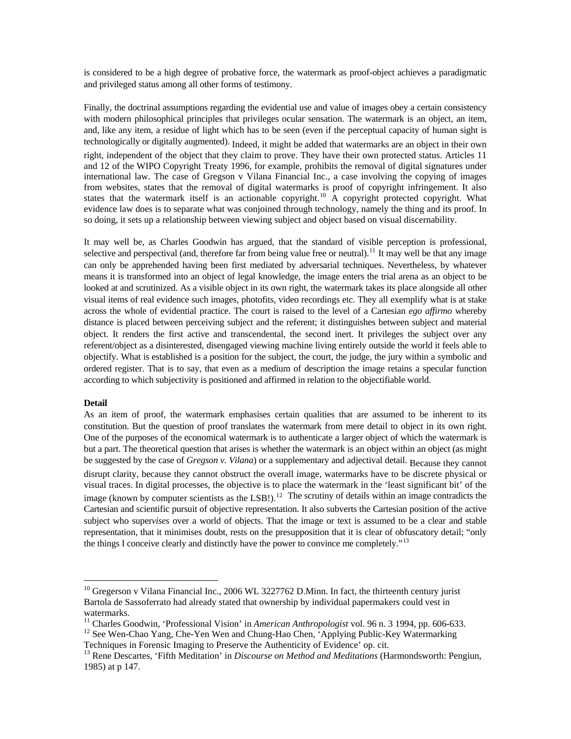is considered to be a high degree of probative force, the watermark as proof-object achieves a paradigmatic and privileged status among all other forms of testimony.

Finally, the doctrinal assumptions regarding the evidential use and value of images obey a certain consistency with modern philosophical principles that privileges ocular sensation. The watermark is an object, an item, and, like any item, a residue of light which has to be seen (even if the perceptual capacity of human sight is technologically or digitally augmented). Indeed, it might be added that watermarks are an object in their own right, independent of the object that they claim to prove. They have their own protected status. Articles 11 and 12 of the WIPO Copyright Treaty 1996, for example, prohibits the removal of digital signatures under international law. The case of Gregson v Vilana Financial Inc., a case involving the copying of images from websites, states that the removal of digital watermarks is proof of copyright infringement. It also states that the watermark itself is an actionable copyright.<sup>[10](#page-5-0)</sup> A copyright protected copyright. What evidence law does is to separate what was conjoined through technology, namely the thing and its proof. In so doing, it sets up a relationship between viewing subject and object based on visual discernability.

It may well be, as Charles Goodwin has argued, that the standard of visible perception is professional, selective and perspectival (and, therefore far from being value free or neutral).<sup>[11](#page-5-1)</sup> It may well be that any image can only be apprehended having been first mediated by adversarial techniques. Nevertheless, by whatever means it is transformed into an object of legal knowledge, the image enters the trial arena as an object to be looked at and scrutinized. As a visible object in its own right, the watermark takes its place alongside all other visual items of real evidence such images, photofits, video recordings etc. They all exemplify what is at stake across the whole of evidential practice. The court is raised to the level of a Cartesian *ego affirmo* whereby distance is placed between perceiving subject and the referent; it distinguishes between subject and material object. It renders the first active and transcendental, the second inert. It privileges the subject over any referent/object as a disinterested, disengaged viewing machine living entirely outside the world it feels able to objectify. What is established is a position for the subject, the court, the judge, the jury within a symbolic and ordered register. That is to say, that even as a medium of description the image retains a specular function according to which subjectivity is positioned and affirmed in relation to the objectifiable world.

#### **Detail**

 $\overline{a}$ 

As an item of proof, the watermark emphasises certain qualities that are assumed to be inherent to its constitution. But the question of proof translates the watermark from mere detail to object in its own right. One of the purposes of the economical watermark is to authenticate a larger object of which the watermark is but a part. The theoretical question that arises is whether the watermark is an object within an object (as might be suggested by the case of *Gregson v. Vilana*) or a supplementary and adjectival detail. Because they cannot disrupt clarity, because they cannot obstruct the overall image, watermarks have to be discrete physical or visual traces. In digital processes, the objective is to place the watermark in the 'least significant bit' of the image (known by computer scientists as the LSB!).<sup>[12](#page-5-2)</sup> The scrutiny of details within an image contradicts the Cartesian and scientific pursuit of objective representation. It also subverts the Cartesian position of the active subject who super*vises* over a world of objects. That the image or text is assumed to be a clear and stable representation, that it minimises doubt, rests on the presupposition that it is clear of obfuscatory detail; "only the things I conceive clearly and distinctly have the power to convince me completely."<sup>[13](#page-5-3)</sup>

<span id="page-5-0"></span> $10$  Gregerson v Vilana Financial Inc., 2006 WL 3227762 D.Minn. In fact, the thirteenth century jurist Bartola de Sassoferrato had already stated that ownership by individual papermakers could vest in watermarks.

<span id="page-5-2"></span><span id="page-5-1"></span><sup>&</sup>lt;sup>11</sup> Charles Goodwin, 'Professional Vision' in *American Anthropologist* vol. 96 n. 3 1994, pp. 606-633.<br><sup>12</sup> See Wen-Chao Yang, Che-Yen Wen and Chung-Hao Chen, 'Applying Public-Key Watermarking

Techniques in Forensic Imaging to Preserve the Authenticity of Evidence' op. cit.

<span id="page-5-3"></span><sup>13</sup> Rene Descartes, 'Fifth Meditation' in *Discourse on Method and Meditations* (Harmondsworth: Pengiun, 1985) at p 147.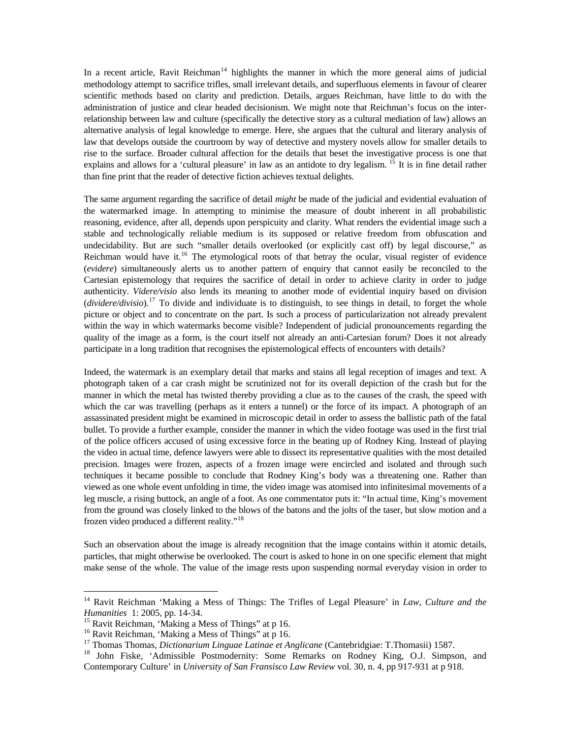In a recent article, Ravit Reichman<sup>[14](#page-6-0)</sup> highlights the manner in which the more general aims of judicial methodology attempt to sacrifice trifles, small irrelevant details, and superfluous elements in favour of clearer scientific methods based on clarity and prediction. Details, argues Reichman, have little to do with the administration of justice and clear headed decisionism. We might note that Reichman's focus on the interrelationship between law and culture (specifically the detective story as a cultural mediation of law) allows an alternative analysis of legal knowledge to emerge. Here, she argues that the cultural and literary analysis of law that develops outside the courtroom by way of detective and mystery novels allow for smaller details to rise to the surface. Broader cultural affection for the details that beset the investigative process is one that explains and allows for a 'cultural pleasure' in law as an antidote to dry legalism.  $1\overline{5}$  It is in fine detail rather than fine print that the reader of detective fiction achieves textual delights.

The same argument regarding the sacrifice of detail *might* be made of the judicial and evidential evaluation of the watermarked image. In attempting to minimise the measure of doubt inherent in all probabilistic reasoning, evidence, after all, depends upon perspicuity and clarity. What renders the evidential image such a stable and technologically reliable medium is its supposed or relative freedom from obfuscation and undecidability. But are such "smaller details overlooked (or explicitly cast off) by legal discourse," as Reichman would have it.<sup>[16](#page-6-2)</sup> The etymological roots of that betray the ocular, visual register of evidence (*evidere*) simultaneously alerts us to another pattern of enquiry that cannot easily be reconciled to the Cartesian epistemology that requires the sacrifice of detail in order to achieve clarity in order to judge authenticity. *Videre/visio* also lends its meaning to another mode of evidential inquiry based on division  $(divideredivisio).<sup>17</sup>$  $(divideredivisio).<sup>17</sup>$  $(divideredivisio).<sup>17</sup>$  To divide and individuate is to distinguish, to see things in detail, to forget the whole picture or object and to concentrate on the part. Is such a process of particularization not already prevalent within the way in which watermarks become visible? Independent of judicial pronouncements regarding the quality of the image as a form, is the court itself not already an anti-Cartesian forum? Does it not already participate in a long tradition that recognises the epistemological effects of encounters with details?

Indeed, the watermark is an exemplary detail that marks and stains all legal reception of images and text. A photograph taken of a car crash might be scrutinized not for its overall depiction of the crash but for the manner in which the metal has twisted thereby providing a clue as to the causes of the crash, the speed with which the car was travelling (perhaps as it enters a tunnel) or the force of its impact. A photograph of an assassinated president might be examined in microscopic detail in order to assess the ballistic path of the fatal bullet. To provide a further example, consider the manner in which the video footage was used in the first trial of the police officers accused of using excessive force in the beating up of Rodney King. Instead of playing the video in actual time, defence lawyers were able to dissect its representative qualities with the most detailed precision. Images were frozen, aspects of a frozen image were encircled and isolated and through such techniques it became possible to conclude that Rodney King's body was a threatening one. Rather than viewed as one whole event unfolding in time, the video image was atomised into infinitesimal movements of a leg muscle, a rising buttock, an angle of a foot. As one commentator puts it: "In actual time, King's movement from the ground was closely linked to the blows of the batons and the jolts of the taser, but slow motion and a frozen video produced a different reality."[18](#page-6-4)

Such an observation about the image is already recognition that the image contains within it atomic details, particles, that might otherwise be overlooked. The court is asked to hone in on one specific element that might make sense of the whole. The value of the image rests upon suspending normal everyday vision in order to

<span id="page-6-0"></span><sup>&</sup>lt;sup>14</sup> Ravit Reichman 'Making a Mess of Things: The Trifles of Legal Pleasure' in Law, Culture and the *Humanities* 1: 2005, pp. 14-34.<br><sup>15</sup> Ravit Reichman, 'Making a Mess of Things'' at p 16.

<span id="page-6-2"></span><span id="page-6-1"></span><sup>&</sup>lt;sup>16</sup> Ravit Reichman, 'Making a Mess of Things" at p 16.<br><sup>17</sup> Thomas Thomas, *Dictionarium Linguae Latinae et Anglicane* (Cantebridgiae: T.Thomasii) 1587.

<span id="page-6-4"></span><span id="page-6-3"></span><sup>&</sup>lt;sup>18</sup> John Fiske, 'Admissible Postmodernity: Some Remarks on Rodney King, O.J. Simpson, and Contemporary Culture' in *University of San Fransisco Law Review* vol. 30, n. 4, pp 917-931 at p 918.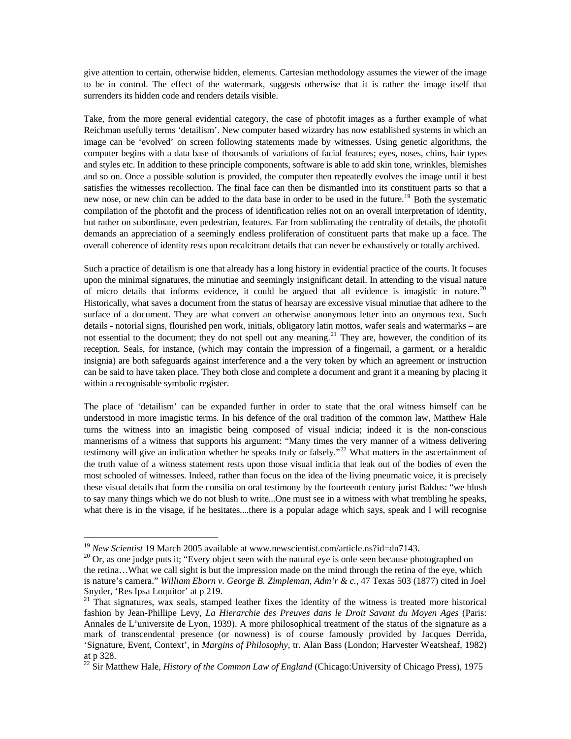give attention to certain, otherwise hidden, elements. Cartesian methodology assumes the viewer of the image to be in control. The effect of the watermark, suggests otherwise that it is rather the image itself that surrenders its hidden code and renders details visible.

Take, from the more general evidential category, the case of photofit images as a further example of what Reichman usefully terms 'detailism'. New computer based wizardry has now established systems in which an image can be 'evolved' on screen following statements made by witnesses. Using genetic algorithms, the computer begins with a data base of thousands of variations of facial features; eyes, noses, chins, hair types and styles etc. In addition to these principle components, software is able to add skin tone, wrinkles, blemishes and so on. Once a possible solution is provided, the computer then repeatedly evolves the image until it best satisfies the witnesses recollection. The final face can then be dismantled into its constituent parts so that a new nose, or new chin can be added to the data base in order to be used in the future.<sup>[19](#page-7-0)</sup> Both the systematic compilation of the photofit and the process of identification relies not on an overall interpretation of identity, but rather on subordinate, even pedestrian, features. Far from sublimating the centrality of details, the photofit demands an appreciation of a seemingly endless proliferation of constituent parts that make up a face. The overall coherence of identity rests upon recalcitrant details that can never be exhaustively or totally archived.

Such a practice of detailism is one that already has a long history in evidential practice of the courts. It focuses upon the minimal signatures, the minutiae and seemingly insignificant detail. In attending to the visual nature of micro details that informs evidence, it could be argued that all evidence is imagistic in nature.<sup>[20](#page-7-1)</sup> Historically, what saves a document from the status of hearsay are excessive visual minutiae that adhere to the surface of a document. They are what convert an otherwise anonymous letter into an onymous text. Such details - notorial signs, flourished pen work, initials, obligatory latin mottos, wafer seals and watermarks – are not essential to the document; they do not spell out any meaning.<sup>[21](#page-7-2)</sup> They are, however, the condition of its reception. Seals, for instance, (which may contain the impression of a fingernail, a garment, or a heraldic insignia) are both safeguards against interference and a the very token by which an agreement or instruction can be said to have taken place. They both close and complete a document and grant it a meaning by placing it within a recognisable symbolic register.

The place of 'detailism' can be expanded further in order to state that the oral witness himself can be understood in more imagistic terms. In his defence of the oral tradition of the common law, Matthew Hale turns the witness into an imagistic being composed of visual indicia; indeed it is the non-conscious mannerisms of a witness that supports his argument: "Many times the very manner of a witness delivering testimony will give an indication whether he speaks truly or falsely."<sup>[22](#page-7-3)</sup> What matters in the ascertainment of the truth value of a witness statement rests upon those visual indicia that leak out of the bodies of even the most schooled of witnesses. Indeed, rather than focus on the idea of the living pneumatic voice, it is precisely these visual details that form the consilia on oral testimony by the fourteenth century jurist Baldus: "we blush to say many things which we do not blush to write...One must see in a witness with what trembling he speaks, what there is in the visage, if he hesitates....there is a popular adage which says, speak and I will recognise

<span id="page-7-1"></span><span id="page-7-0"></span><sup>&</sup>lt;sup>19</sup> *New Scientist* 19 March 2005 available at www.newscientist.com/article.ns?id=dn7143.<br><sup>20</sup> Or, as one judge puts it; "Every object seen with the natural eye is onle seen because photographed on the retina…What we call sight is but the impression made on the mind through the retina of the eye, which is nature's camera." *William Eborn v. George B. Zimpleman, Adm'r & c.,* 47 Texas 503 (1877) cited in Joel Snyder, 'Res Ipsa Loquitor' at p 219.

<span id="page-7-2"></span> $21$  That signatures, wax seals, stamped leather fixes the identity of the witness is treated more historical fashion by Jean-Phillipe Levy, *La Hierarchie des Preuves dans le Droit Savant du Moyen Ages* (Paris: Annales de L'universite de Lyon, 1939). A more philosophical treatment of the status of the signature as a mark of transcendental presence (or nowness) is of course famously provided by Jacques Derrida, 'Signature, Event, Context', in *Margins of Philosophy,* tr. Alan Bass (London; Harvester Weatsheaf, 1982) at p 328.

<span id="page-7-3"></span><sup>22</sup> Sir Matthew Hale, *History of the Common Law of England* (Chicago:University of Chicago Press), 1975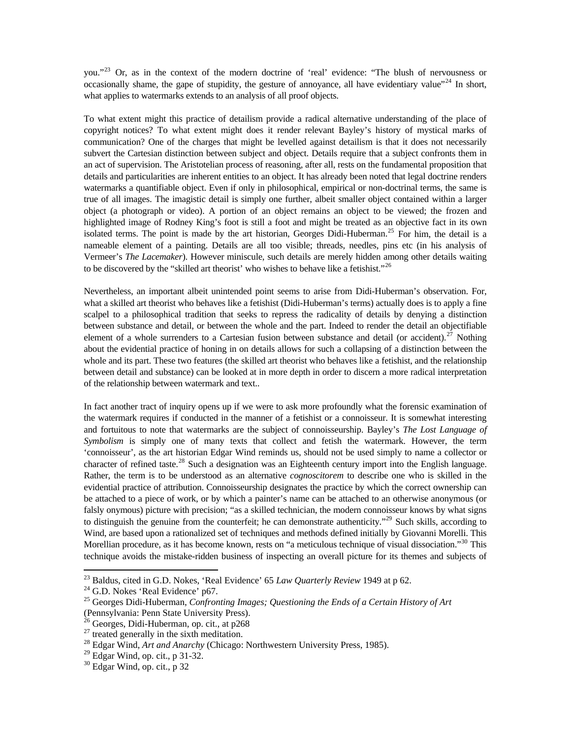you."[23](#page-8-0) Or, as in the context of the modern doctrine of 'real' evidence: "The blush of nervousness or occasionally shame, the gape of stupidity, the gesture of annoyance, all have evidentiary value"<sup>[24](#page-8-1)</sup> In short, what applies to watermarks extends to an analysis of all proof objects.

To what extent might this practice of detailism provide a radical alternative understanding of the place of copyright notices? To what extent might does it render relevant Bayley's history of mystical marks of communication? One of the charges that might be levelled against detailism is that it does not necessarily subvert the Cartesian distinction between subject and object. Details require that a subject confronts them in an act of supervision. The Aristotelian process of reasoning, after all, rests on the fundamental proposition that details and particularities are inherent entities to an object. It has already been noted that legal doctrine renders watermarks a quantifiable object. Even if only in philosophical, empirical or non-doctrinal terms, the same is true of all images. The imagistic detail is simply one further, albeit smaller object contained within a larger object (a photograph or video). A portion of an object remains an object to be viewed; the frozen and highlighted image of Rodney King's foot is still a foot and might be treated as an objective fact in its own isolated terms. The point is made by the art historian, Georges Didi-Huberman.<sup>[25](#page-8-2)</sup> For him, the detail is a nameable element of a painting. Details are all too visible; threads, needles, pins etc (in his analysis of Vermeer's *The Lacemaker*). However miniscule, such details are merely hidden among other details waiting to be discovered by the "skilled art theorist" who wishes to behave like a fetishist."<sup>[26](#page-8-3)</sup>

Nevertheless, an important albeit unintended point seems to arise from Didi-Huberman's observation. For, what a skilled art theorist who behaves like a fetishist (Didi-Huberman's terms) actually does is to apply a fine scalpel to a philosophical tradition that seeks to repress the radicality of details by denying a distinction between substance and detail, or between the whole and the part. Indeed to render the detail an objectifiable element of a whole surrenders to a Cartesian fusion between substance and detail (or accident).<sup>[27](#page-8-4)</sup> Nothing about the evidential practice of honing in on details allows for such a collapsing of a distinction between the whole and its part. These two features (the skilled art theorist who behaves like a fetishist, and the relationship between detail and substance) can be looked at in more depth in order to discern a more radical interpretation of the relationship between watermark and text..

In fact another tract of inquiry opens up if we were to ask more profoundly what the forensic examination of the watermark requires if conducted in the manner of a fetishist or a connoisseur. It is somewhat interesting and fortuitous to note that watermarks are the subject of connoisseurship. Bayley's *The Lost Language of Symbolism* is simply one of many texts that collect and fetish the watermark. However, the term 'connoisseur', as the art historian Edgar Wind reminds us, should not be used simply to name a collector or character of refined taste.<sup>[28](#page-8-5)</sup> Such a designation was an Eighteenth century import into the English language. Rather, the term is to be understood as an alternative *cognoscitorem* to describe one who is skilled in the evidential practice of attribution. Connoisseurship designates the practice by which the correct ownership can be attached to a piece of work, or by which a painter's name can be attached to an otherwise anonymous (or falsly onymous) picture with precision; "as a skilled technician, the modern connoisseur knows by what signs to distinguish the genuine from the counterfeit; he can demonstrate authenticity."<sup>[29](#page-8-6)</sup> Such skills, according to Wind, are based upon a rationalized set of techniques and methods defined initially by Giovanni Morelli. This Morellian procedure, as it has become known, rests on "a meticulous technique of visual dissociation."<sup>[30](#page-8-7)</sup> This technique avoids the mistake-ridden business of inspecting an overall picture for its themes and subjects of

<span id="page-8-1"></span><span id="page-8-0"></span><sup>&</sup>lt;sup>23</sup> Baldus, cited in G.D. Nokes, 'Real Evidence' 65 *Law Quarterly Review* 1949 at p 62.<br><sup>24</sup> G.D. Nokes 'Real Evidence' p67.

<span id="page-8-2"></span><sup>25</sup> Georges Didi-Huberman, *Confronting Images; Questioning the Ends of a Certain History of Art*  (Pennsylvania: Penn State University Press).

<span id="page-8-3"></span><sup>&</sup>lt;sup>26</sup> Georges, Didi-Huberman, op. cit., at p268

<span id="page-8-4"></span> $27$  treated generally in the sixth meditation.

<span id="page-8-5"></span><sup>28</sup> Edgar Wind, *Art and Anarchy* (Chicago: Northwestern University Press, 1985).

<span id="page-8-6"></span> $29$  Edgar Wind, op. cit., p 31-32.

<span id="page-8-7"></span><sup>30</sup> Edgar Wind, op. cit., p 32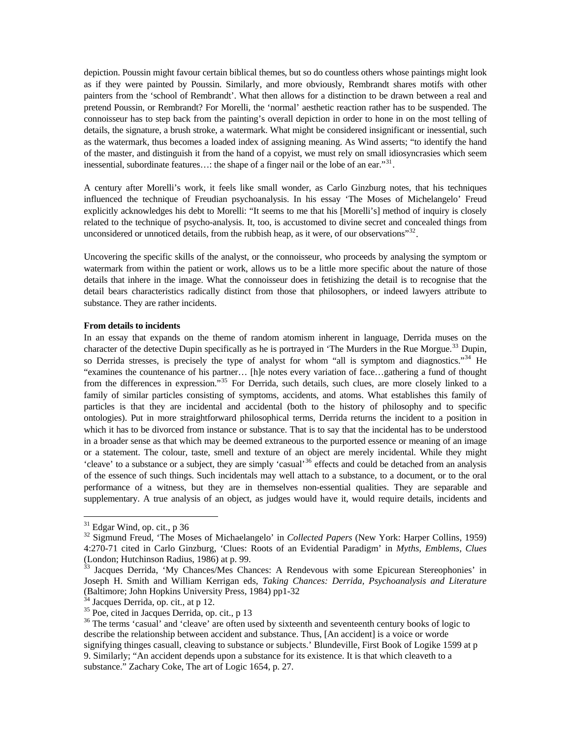depiction. Poussin might favour certain biblical themes, but so do countless others whose paintings might look as if they were painted by Poussin. Similarly, and more obviously, Rembrandt shares motifs with other painters from the 'school of Rembrandt'. What then allows for a distinction to be drawn between a real and pretend Poussin, or Rembrandt? For Morelli, the 'normal' aesthetic reaction rather has to be suspended. The connoisseur has to step back from the painting's overall depiction in order to hone in on the most telling of details, the signature, a brush stroke, a watermark. What might be considered insignificant or inessential, such as the watermark, thus becomes a loaded index of assigning meaning. As Wind asserts; "to identify the hand of the master, and distinguish it from the hand of a copyist, we must rely on small idiosyncrasies which seem inessential, subordinate features...: the shape of a finger nail or the lobe of an ear."<sup>[31](#page-9-0)</sup>.

A century after Morelli's work, it feels like small wonder, as Carlo Ginzburg notes, that his techniques influenced the technique of Freudian psychoanalysis. In his essay 'The Moses of Michelangelo' Freud explicitly acknowledges his debt to Morelli: "It seems to me that his [Morelli's] method of inquiry is closely related to the technique of psycho-analysis. It, too, is accustomed to divine secret and concealed things from unconsidered or unnoticed details, from the rubbish heap, as it were, of our observations<sup> $332$  $332$ </sup>.

Uncovering the specific skills of the analyst, or the connoisseur, who proceeds by analysing the symptom or watermark from within the patient or work, allows us to be a little more specific about the nature of those details that inhere in the image. What the connoisseur does in fetishizing the detail is to recognise that the detail bears characteristics radically distinct from those that philosophers, or indeed lawyers attribute to substance. They are rather incidents.

#### **From details to incidents**

In an essay that expands on the theme of random atomism inherent in language*,* Derrida muses on the character of the detective Dupin specifically as he is portrayed in 'The Murders in the Rue Morgue.<sup>[33](#page-9-2)</sup> Dupin, so Derrida stresses, is precisely the type of analyst for whom "all is symptom and diagnostics."<sup>[34](#page-9-3)</sup> He "examines the countenance of his partner… [h]e notes every variation of face…gathering a fund of thought from the differences in expression."<sup>[35](#page-9-4)</sup> For Derrida, such details, such clues, are more closely linked to a family of similar particles consisting of symptoms, accidents, and atoms. What establishes this family of particles is that they are incidental and accidental (both to the history of philosophy and to specific ontologies). Put in more straightforward philosophical terms, Derrida returns the incident to a position in which it has to be divorced from instance or substance. That is to say that the incidental has to be understood in a broader sense as that which may be deemed extraneous to the purported essence or meaning of an image or a statement. The colour, taste, smell and texture of an object are merely incidental. While they might 'cleave' to a substance or a subject, they are simply 'casual'[36](#page-9-5) effects and could be detached from an analysis of the essence of such things. Such incidentals may well attach to a substance, to a document, or to the oral performance of a witness, but they are in themselves non-essential qualities. They are separable and supplementary. A true analysis of an object, as judges would have it, would require details, incidents and

<span id="page-9-0"></span> $31$  Edgar Wind, op. cit., p 36

<span id="page-9-1"></span><sup>32</sup> Sigmund Freud, 'The Moses of Michaelangelo' in *Collected Papers* (New York: Harper Collins, 1959) 4:270-71 cited in Carlo Ginzburg, 'Clues: Roots of an Evidential Paradigm' in *Myths, Emblems, Clues* (London; Hutchinson Radius, 1986) at p. 99.

<span id="page-9-2"></span>Jacques Derrida, 'My Chances/Mes Chances: A Rendevous with some Epicurean Stereophonies' in Joseph H. Smith and William Kerrigan eds, *Taking Chances: Derrida, Psychoanalysis and Literature*  (Baltimore; John Hopkins University Press, 1984) pp1-32

 $<sup>4</sup>$  Jacques Derrida, op. cit., at p 12.</sup>

<span id="page-9-4"></span><span id="page-9-3"></span><sup>35</sup> Poe, cited in Jacques Derrida, op. cit., p 13

<span id="page-9-5"></span><sup>&</sup>lt;sup>36</sup> The terms 'casual' and 'cleave' are often used by sixteenth and seventeenth century books of logic to describe the relationship between accident and substance. Thus, [An accident] is a voice or worde signifying thinges casuall, cleaving to substance or subjects.' Blundeville, First Book of Logike 1599 at p 9. Similarly; "An accident depends upon a substance for its existence. It is that which cleaveth to a substance." Zachary Coke, The art of Logic 1654, p. 27.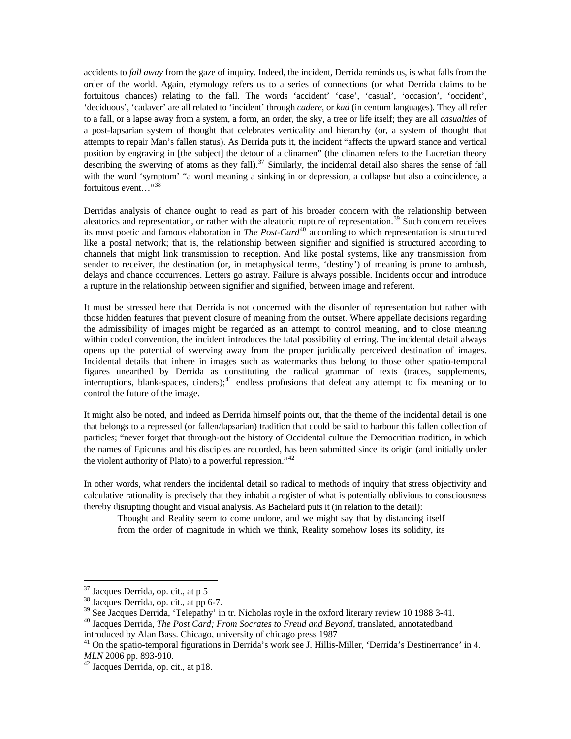accidents to *fall away* from the gaze of inquiry. Indeed, the incident, Derrida reminds us, is what falls from the order of the world. Again, etymology refers us to a series of connections (or what Derrida claims to be fortuitous chances) relating to the fall. The words 'accident' 'case', 'casual', 'occasion', 'occident', 'deciduous', 'cadaver' are all related to 'incident' through *cadere*, or *kad* (in centum languages)*.* They all refer to a fall, or a lapse away from a system, a form, an order, the sky, a tree or life itself; they are all *casualties* of a post-lapsarian system of thought that celebrates verticality and hierarchy (or, a system of thought that attempts to repair Man's fallen status). As Derrida puts it, the incident "affects the upward stance and vertical position by engraving in [the subject] the detour of a clinamen" (the clinamen refers to the Lucretian theory describing the swerving of atoms as they fall).<sup>[37](#page-10-0)</sup> Similarly, the incidental detail also shares the sense of fall with the word 'symptom' "a word meaning a sinking in or depression, a collapse but also a coincidence, a fortuitous event..."<sup>38</sup>

delays and chance occurrences. Letters go astray. Failure is always possible. Incidents occur and introduce a rupture in the relationship between signifier and signified, between image and referent. Derridas analysis of chance ought to read as part of his broader concern with the relationship between aleatorics and representation, or rather with the aleatoric rupture of representation.<sup>[39](#page-10-1)</sup> Such concern receives its most poetic and famous elaboration in *The Post-Card*[40](#page-10-2) according to which representation is structured like a postal network; that is, the relationship between signifier and signified is structured according to channels that might link transmission to reception. And like postal systems, like any transmission from sender to receiver, the destination (or, in metaphysical terms, 'destiny') of meaning is prone to ambush,

interruptions, blank-spaces, cinders); $41$  endless profusions that defeat any attempt to fix meaning or to control the future of the image. It must be stressed here that Derrida is not concerned with the disorder of representation but rather with those hidden features that prevent closure of meaning from the outset. Where appellate decisions regarding the admissibility of images might be regarded as an attempt to control meaning, and to close meaning within coded convention, the incident introduces the fatal possibility of erring. The incidental detail always opens up the potential of swerving away from the proper juridically perceived destination of images. Incidental details that inhere in images such as watermarks thus belong to those other spatio-temporal figures unearthed by Derrida as constituting the radical grammar of texts (traces, supplements,

the names of Epicurus and his disciples are recorded, has been submitted since its origin (and initially under the violent authority of Plato) to a powerful repression." $42$ It might also be noted, and indeed as Derrida himself points out, that the theme of the incidental detail is one that belongs to a repressed (or fallen/lapsarian) tradition that could be said to harbour this fallen collection of particles; "never forget that through-out the history of Occidental culture the Democritian tradition, in which

calculative rationality is precisely that they inhabit a register of what is potentially oblivious to consciousness thereby d isrupting thought and visual analysis. As Bachelard puts it (in relation to the detail): In other words, what renders the incidental detail so radical to methods of inquiry that stress objectivity and

Thought and Reality seem to come undone, and we might say that by distancing itself from the order of magnitude in which we think, Reality somehow loses its solidity, its

 $37$  Jacques Derrida, op. cit., at p 5

<span id="page-10-0"></span><sup>38</sup> Jacques Derrida, op. cit., at pp 6-7.

<span id="page-10-1"></span><sup>&</sup>lt;sup>39</sup> See Jacques Derrida, 'Telepathy' in tr. Nicholas royle in the oxford literary review 10 1988 3-41.

<span id="page-10-2"></span>introduced by Alan Bass. Chicago, university of chicago press 1987 40 Jacques Derrida, *The Post Card; From Socrates to Freud and Beyond*, translated, annotatedband

<sup>&</sup>lt;sup>41</sup> On the spatio-temporal figurations in Derrida's work see J. Hillis-Miller, 'Derrida's Destinerrance' in 4. *MLN* 2006 pp. 893-910.<br><sup>42</sup> Jacques Derrida, op. cit., at p18.